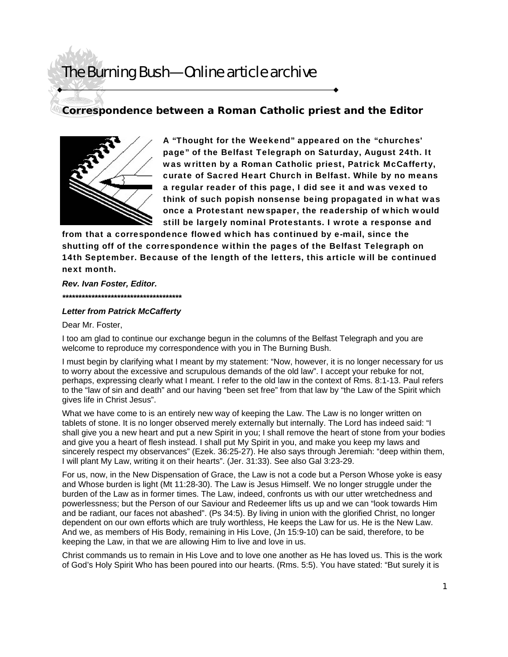### **Correspondence between a Roman Catholic priest and the Editor**



A "Thought for the Weekend" appeared on the "churches' page" of the Belfast Telegraph on Saturday, August 24th. It was written by a Roman Catholic priest, Patrick McCafferty, curate of Sacred Heart Church in Belfast. While by no means a regular reader of this page, I did see it and was vexed to think of such popish nonsense being propagated in what was once a Protestant newspaper, the readership of which would still be largely nominal Protestants. I wrote a response and

from that a correspondence flowed which has continued by e-mail, since the shutting off of the correspondence within the pages of the Belfast Telegraph on 14th September. Because of the length of the letters, this article will be continued next month.

*Rev. Ivan Foster, Editor. \*\*\*\*\*\*\*\*\*\*\*\*\*\*\*\*\*\*\*\*\*\*\*\*\*\*\*\*\*\*\*\*\*\*\*\*\** 

### *Letter from Patrick McCafferty*

Dear Mr. Foster,

I too am glad to continue our exchange begun in the columns of the Belfast Telegraph and you are welcome to reproduce my correspondence with you in The Burning Bush.

I must begin by clarifying what I meant by my statement: "Now, however, it is no longer necessary for us to worry about the excessive and scrupulous demands of the old law". I accept your rebuke for not, perhaps, expressing clearly what I meant. I refer to the old law in the context of Rms. 8:1-13. Paul refers to the "law of sin and death" and our having "been set free" from that law by "the Law of the Spirit which gives life in Christ Jesus".

What we have come to is an entirely new way of keeping the Law. The Law is no longer written on tablets of stone. It is no longer observed merely externally but internally. The Lord has indeed said: "I shall give you a new heart and put a new Spirit in you; I shall remove the heart of stone from your bodies and give you a heart of flesh instead. I shall put My Spirit in you, and make you keep my laws and sincerely respect my observances" (Ezek. 36:25-27). He also says through Jeremiah: "deep within them, I will plant My Law, writing it on their hearts". (Jer. 31:33). See also Gal 3:23-29.

For us, now, in the New Dispensation of Grace, the Law is not a code but a Person Whose yoke is easy and Whose burden is light (Mt 11:28-30). The Law is Jesus Himself. We no longer struggle under the burden of the Law as in former times. The Law, indeed, confronts us with our utter wretchedness and powerlessness; but the Person of our Saviour and Redeemer lifts us up and we can "look towards Him and be radiant, our faces not abashed". (Ps 34:5). By living in union with the glorified Christ, no longer dependent on our own efforts which are truly worthless, He keeps the Law for us. He is the New Law. And we, as members of His Body, remaining in His Love, (Jn 15:9-10) can be said, therefore, to be keeping the Law, in that we are allowing Him to live and love in us.

Christ commands us to remain in His Love and to love one another as He has loved us. This is the work of God's Holy Spirit Who has been poured into our hearts. (Rms. 5:5). You have stated: "But surely it is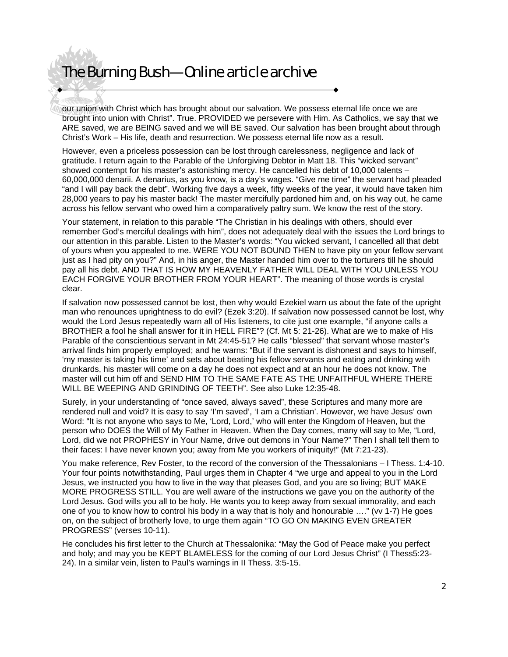our union with Christ which has brought about our salvation. We possess eternal life once we are brought into union with Christ". True. PROVIDED we persevere with Him. As Catholics, we say that we ARE saved, we are BEING saved and we will BE saved. Our salvation has been brought about through Christ's Work – His life, death and resurrection. We possess eternal life now as a result.

However, even a priceless possession can be lost through carelessness, negligence and lack of gratitude. I return again to the Parable of the Unforgiving Debtor in Matt 18. This "wicked servant" showed contempt for his master's astonishing mercy. He cancelled his debt of 10,000 talents – 60,000,000 denarii. A denarius, as you know, is a day's wages. "Give me time" the servant had pleaded "and I will pay back the debt". Working five days a week, fifty weeks of the year, it would have taken him 28,000 years to pay his master back! The master mercifully pardoned him and, on his way out, he came across his fellow servant who owed him a comparatively paltry sum. We know the rest of the story.

Your statement, in relation to this parable "The Christian in his dealings with others, should ever remember God's merciful dealings with him", does not adequately deal with the issues the Lord brings to our attention in this parable. Listen to the Master's words: "You wicked servant, I cancelled all that debt of yours when you appealed to me. WERE YOU NOT BOUND THEN to have pity on your fellow servant just as I had pity on you?" And, in his anger, the Master handed him over to the torturers till he should pay all his debt. AND THAT IS HOW MY HEAVENLY FATHER WILL DEAL WITH YOU UNLESS YOU EACH FORGIVE YOUR BROTHER FROM YOUR HEART". The meaning of those words is crystal clear.

If salvation now possessed cannot be lost, then why would Ezekiel warn us about the fate of the upright man who renounces uprightness to do evil? (Ezek 3:20). If salvation now possessed cannot be lost, why would the Lord Jesus repeatedly warn all of His listeners, to cite just one example, "if anyone calls a BROTHER a fool he shall answer for it in HELL FIRE"? (Cf. Mt 5: 21-26). What are we to make of His Parable of the conscientious servant in Mt 24:45-51? He calls "blessed" that servant whose master's arrival finds him properly employed; and he warns: "But if the servant is dishonest and says to himself, 'my master is taking his time' and sets about beating his fellow servants and eating and drinking with drunkards, his master will come on a day he does not expect and at an hour he does not know. The master will cut him off and SEND HIM TO THE SAME FATE AS THE UNFAITHFUL WHERE THERE WILL BE WEEPING AND GRINDING OF TEETH". See also Luke 12:35-48.

Surely, in your understanding of "once saved, always saved", these Scriptures and many more are rendered null and void? It is easy to say 'I'm saved', 'I am a Christian'. However, we have Jesus' own Word: "It is not anyone who says to Me, 'Lord, Lord,' who will enter the Kingdom of Heaven, but the person who DOES the Will of My Father in Heaven. When the Day comes, many will say to Me, "Lord, Lord, did we not PROPHESY in Your Name, drive out demons in Your Name?" Then I shall tell them to their faces: I have never known you; away from Me you workers of iniquity!" (Mt 7:21-23).

You make reference, Rev Foster, to the record of the conversion of the Thessalonians – I Thess. 1:4-10. Your four points notwithstanding, Paul urges them in Chapter 4 "we urge and appeal to you in the Lord Jesus, we instructed you how to live in the way that pleases God, and you are so living; BUT MAKE MORE PROGRESS STILL. You are well aware of the instructions we gave you on the authority of the Lord Jesus. God wills you all to be holy. He wants you to keep away from sexual immorality, and each one of you to know how to control his body in a way that is holy and honourable …." (vv 1-7) He goes on, on the subject of brotherly love, to urge them again "TO GO ON MAKING EVEN GREATER PROGRESS" (verses 10-11).

He concludes his first letter to the Church at Thessalonika: "May the God of Peace make you perfect and holy; and may you be KEPT BLAMELESS for the coming of our Lord Jesus Christ" (I Thess5:23- 24). In a similar vein, listen to Paul's warnings in II Thess. 3:5-15.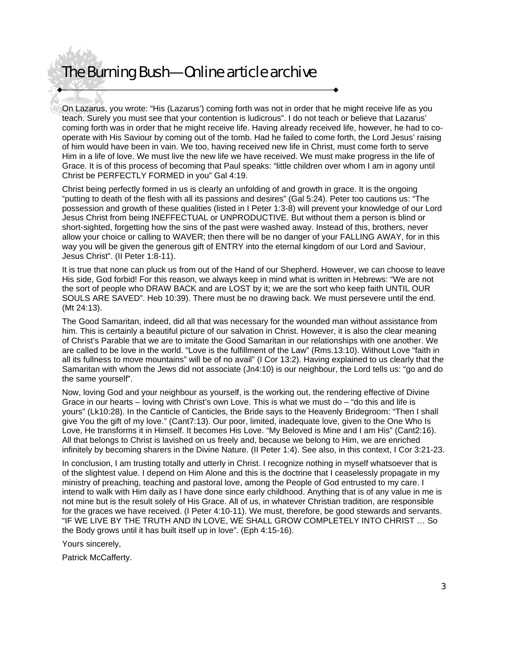On Lazarus, you wrote: "His (Lazarus') coming forth was not in order that he might receive life as you teach. Surely you must see that your contention is ludicrous". I do not teach or believe that Lazarus' coming forth was in order that he might receive life. Having already received life, however, he had to cooperate with His Saviour by coming out of the tomb. Had he failed to come forth, the Lord Jesus' raising of him would have been in vain. We too, having received new life in Christ, must come forth to serve Him in a life of love. We must live the new life we have received. We must make progress in the life of Grace. It is of this process of becoming that Paul speaks: "little children over whom I am in agony until Christ be PERFECTLY FORMED in you" Gal 4:19.

Christ being perfectly formed in us is clearly an unfolding of and growth in grace. It is the ongoing "putting to death of the flesh with all its passions and desires" (Gal 5:24). Peter too cautions us: "The possession and growth of these qualities (listed in I Peter 1:3-8) will prevent your knowledge of our Lord Jesus Christ from being INEFFECTUAL or UNPRODUCTIVE. But without them a person is blind or short-sighted, forgetting how the sins of the past were washed away. Instead of this, brothers, never allow your choice or calling to WAVER; then there will be no danger of your FALLING AWAY, for in this way you will be given the generous gift of ENTRY into the eternal kingdom of our Lord and Saviour, Jesus Christ". (II Peter 1:8-11).

It is true that none can pluck us from out of the Hand of our Shepherd. However, we can choose to leave His side, God forbid! For this reason, we always keep in mind what is written in Hebrews: "We are not the sort of people who DRAW BACK and are LOST by it; we are the sort who keep faith UNTIL OUR SOULS ARE SAVED". Heb 10:39). There must be no drawing back. We must persevere until the end. (Mt 24:13).

The Good Samaritan, indeed, did all that was necessary for the wounded man without assistance from him. This is certainly a beautiful picture of our salvation in Christ. However, it is also the clear meaning of Christ's Parable that we are to imitate the Good Samaritan in our relationships with one another. We are called to be love in the world. "Love is the fulfillment of the Law" (Rms.13:10). Without Love "faith in all its fullness to move mountains" will be of no avail" (I Cor 13:2). Having explained to us clearly that the Samaritan with whom the Jews did not associate (Jn4:10) is our neighbour, the Lord tells us: "go and do the same yourself".

Now, loving God and your neighbour as yourself, is the working out, the rendering effective of Divine Grace in our hearts – loving with Christ's own Love. This is what we must do – "do this and life is yours" (Lk10:28). In the Canticle of Canticles, the Bride says to the Heavenly Bridegroom: "Then I shall give You the gift of my love." (Cant7:13). Our poor, limited, inadequate love, given to the One Who Is Love, He transforms it in Himself. It becomes His Love. "My Beloved is Mine and I am His" (Cant2:16). All that belongs to Christ is lavished on us freely and, because we belong to Him, we are enriched infinitely by becoming sharers in the Divine Nature. (II Peter 1:4). See also, in this context, I Cor 3:21-23.

In conclusion, I am trusting totally and utterly in Christ. I recognize nothing in myself whatsoever that is of the slightest value. I depend on Him Alone and this is the doctrine that I ceaselessly propagate in my ministry of preaching, teaching and pastoral love, among the People of God entrusted to my care. I intend to walk with Him daily as I have done since early childhood. Anything that is of any value in me is not mine but is the result solely of His Grace. All of us, in whatever Christian tradition, are responsible for the graces we have received. (I Peter 4:10-11). We must, therefore, be good stewards and servants. "IF WE LIVE BY THE TRUTH AND IN LOVE, WE SHALL GROW COMPLETELY INTO CHRIST … So the Body grows until it has built itself up in love". (Eph 4:15-16).

Yours sincerely,

Patrick McCafferty.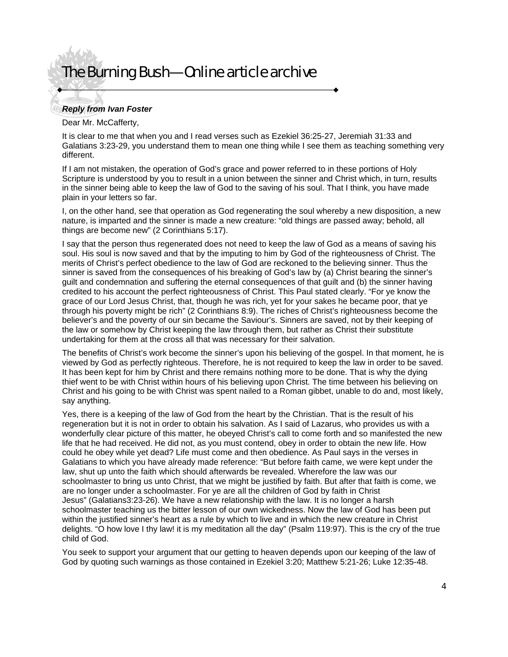### *Reply from Ivan Foster*

#### Dear Mr. McCafferty,

It is clear to me that when you and I read verses such as Ezekiel 36:25-27, Jeremiah 31:33 and Galatians 3:23-29, you understand them to mean one thing while I see them as teaching something very different.

If I am not mistaken, the operation of God's grace and power referred to in these portions of Holy Scripture is understood by you to result in a union between the sinner and Christ which, in turn, results in the sinner being able to keep the law of God to the saving of his soul. That I think, you have made plain in your letters so far.

I, on the other hand, see that operation as God regenerating the soul whereby a new disposition, a new nature, is imparted and the sinner is made a new creature: "old things are passed away; behold, all things are become new" (2 Corinthians 5:17).

I say that the person thus regenerated does not need to keep the law of God as a means of saving his soul. His soul is now saved and that by the imputing to him by God of the righteousness of Christ. The merits of Christ's perfect obedience to the law of God are reckoned to the believing sinner. Thus the sinner is saved from the consequences of his breaking of God's law by (a) Christ bearing the sinner's guilt and condemnation and suffering the eternal consequences of that guilt and (b) the sinner having credited to his account the perfect righteousness of Christ. This Paul stated clearly. "For ye know the grace of our Lord Jesus Christ, that, though he was rich, yet for your sakes he became poor, that ye through his poverty might be rich" (2 Corinthians 8:9). The riches of Christ's righteousness become the believer's and the poverty of our sin became the Saviour's. Sinners are saved, not by their keeping of the law or somehow by Christ keeping the law through them, but rather as Christ their substitute undertaking for them at the cross all that was necessary for their salvation.

The benefits of Christ's work become the sinner's upon his believing of the gospel. In that moment, he is viewed by God as perfectly righteous. Therefore, he is not required to keep the law in order to be saved. It has been kept for him by Christ and there remains nothing more to be done. That is why the dying thief went to be with Christ within hours of his believing upon Christ. The time between his believing on Christ and his going to be with Christ was spent nailed to a Roman gibbet, unable to do and, most likely, say anything.

Yes, there is a keeping of the law of God from the heart by the Christian. That is the result of his regeneration but it is not in order to obtain his salvation. As I said of Lazarus, who provides us with a wonderfully clear picture of this matter, he obeyed Christ's call to come forth and so manifested the new life that he had received. He did not, as you must contend, obey in order to obtain the new life. How could he obey while yet dead? Life must come and then obedience. As Paul says in the verses in Galatians to which you have already made reference: "But before faith came, we were kept under the law, shut up unto the faith which should afterwards be revealed. Wherefore the law was our schoolmaster to bring us unto Christ, that we might be justified by faith. But after that faith is come, we are no longer under a schoolmaster. For ye are all the children of God by faith in Christ Jesus" (Galatians3:23-26). We have a new relationship with the law. It is no longer a harsh schoolmaster teaching us the bitter lesson of our own wickedness. Now the law of God has been put within the justified sinner's heart as a rule by which to live and in which the new creature in Christ delights. "O how love I thy law! it is my meditation all the day" (Psalm 119:97). This is the cry of the true child of God.

You seek to support your argument that our getting to heaven depends upon our keeping of the law of God by quoting such warnings as those contained in Ezekiel 3:20; Matthew 5:21-26; Luke 12:35-48.